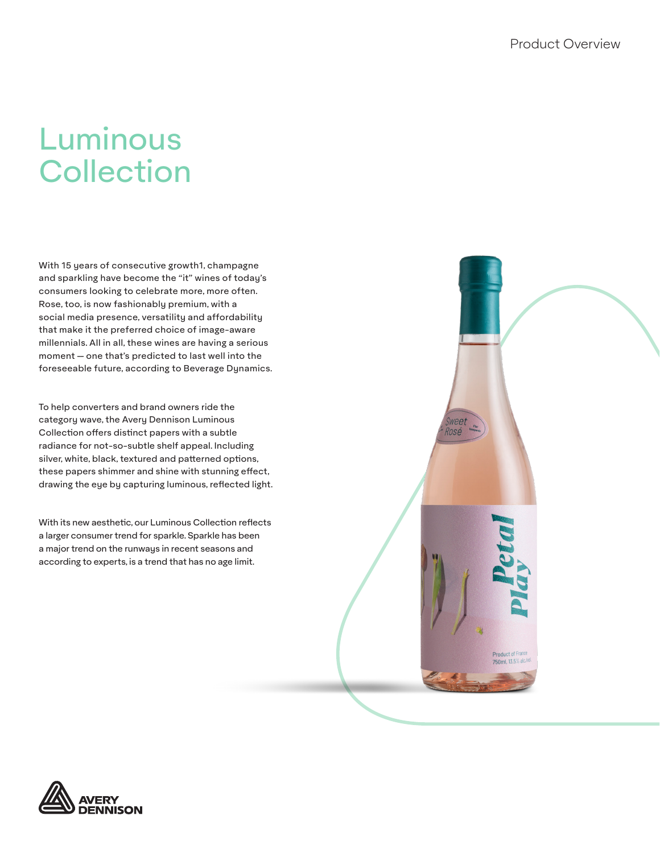# Luminous **Collection**

With 15 years of consecutive growth1, champagne and sparkling have become the "it" wines of today's consumers looking to celebrate more, more often. Rose, too, is now fashionably premium, with a social media presence, versatility and affordability that make it the preferred choice of image-aware millennials. All in all, these wines are having a serious moment -- one that's predicted to last well into the foreseeable future, according to Beverage Dynamics.

To help converters and brand owners ride the category wave, the Avery Dennison Luminous Collection offers distinct papers with a subtle radiance for not-so-subtle shelf appeal. Including silver, white, black, textured and patterned options, these papers shimmer and shine with stunning effect, drawing the eye by capturing luminous, reflected light.

With its new aesthetic, our Luminous Collection reflects a larger consumer trend for sparkle. Sparkle has been a major trend on the runways in recent seasons and according to experts, is a trend that has no age limit.